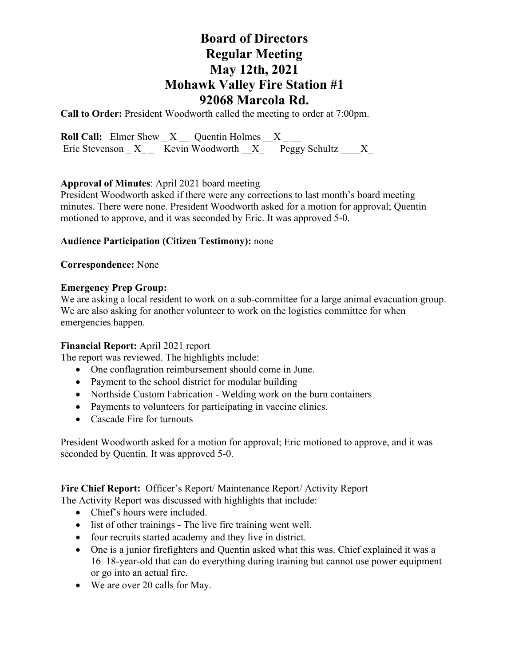# **Board of Directors Regular Meeting May 12th, 2021 Mohawk Valley Fire Station #1 92068 Marcola Rd.**

**Call to Order:** President Woodworth called the meeting to order at 7:00pm.

**Roll Call:** Elmer Shew  $X$   $\_\_$  Quentin Holmes  $\_\_$   $X$   $\_\_$ Eric Stevenson  $X_{--}$  Kevin Woodworth  $X_{--}$  Peggy Schultz  $X_{--}$ 

### **Approval of Minutes**: April 2021 board meeting

President Woodworth asked if there were any corrections to last month's board meeting minutes. There were none. President Woodworth asked for a motion for approval; Quentin motioned to approve, and it was seconded by Eric. It was approved 5-0.

## **Audience Participation (Citizen Testimony):** none

### **Correspondence:** None

### **Emergency Prep Group:**

We are asking a local resident to work on a sub-committee for a large animal evacuation group. We are also asking for another volunteer to work on the logistics committee for when emergencies happen.

### **Financial Report:** April 2021 report

The report was reviewed. The highlights include:

- One conflagration reimbursement should come in June.
- Payment to the school district for modular building
- Northside Custom Fabrication Welding work on the burn containers
- Payments to volunteers for participating in vaccine clinics.
- Cascade Fire for turnouts

President Woodworth asked for a motion for approval; Eric motioned to approve, and it was seconded by Quentin. It was approved 5-0.

### **Fire Chief Report:** Officer's Report/ Maintenance Report/ Activity Report

The Activity Report was discussed with highlights that include:

- Chief's hours were included.
- list of other trainings The live fire training went well.
- four recruits started academy and they live in district.
- One is a junior firefighters and Quentin asked what this was. Chief explained it was a 16–18-year-old that can do everything during training but cannot use power equipment or go into an actual fire.
- We are over 20 calls for May.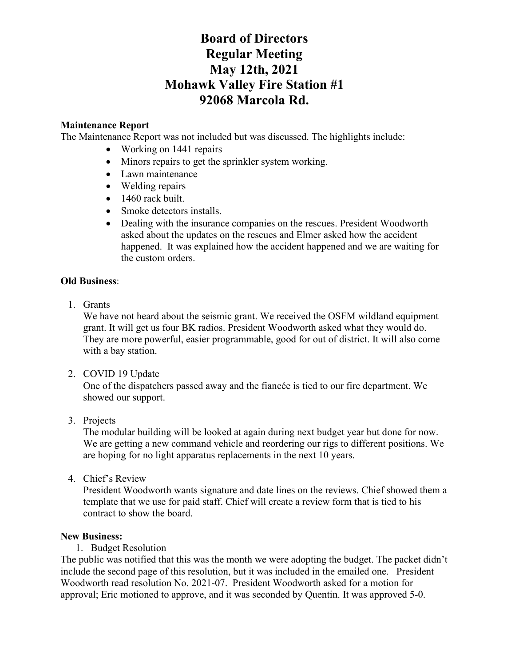# **Board of Directors Regular Meeting May 12th, 2021 Mohawk Valley Fire Station #1 92068 Marcola Rd.**

## **Maintenance Report**

The Maintenance Report was not included but was discussed. The highlights include:

- Working on 1441 repairs
- Minors repairs to get the sprinkler system working.
- Lawn maintenance
- Welding repairs
- 1460 rack built.
- Smoke detectors installs.
- Dealing with the insurance companies on the rescues. President Woodworth asked about the updates on the rescues and Elmer asked how the accident happened. It was explained how the accident happened and we are waiting for the custom orders.

#### **Old Business**:

1. Grants

We have not heard about the seismic grant. We received the OSFM wildland equipment grant. It will get us four BK radios. President Woodworth asked what they would do. They are more powerful, easier programmable, good for out of district. It will also come with a bay station.

2. COVID 19 Update

One of the dispatchers passed away and the fiancée is tied to our fire department. We showed our support.

3. Projects

The modular building will be looked at again during next budget year but done for now. We are getting a new command vehicle and reordering our rigs to different positions. We are hoping for no light apparatus replacements in the next 10 years.

4. Chief's Review

President Woodworth wants signature and date lines on the reviews. Chief showed them a template that we use for paid staff. Chief will create a review form that is tied to his contract to show the board.

### **New Business:**

1. Budget Resolution

The public was notified that this was the month we were adopting the budget. The packet didn't include the second page of this resolution, but it was included in the emailed one. President Woodworth read resolution No. 2021-07. President Woodworth asked for a motion for approval; Eric motioned to approve, and it was seconded by Quentin. It was approved 5-0.